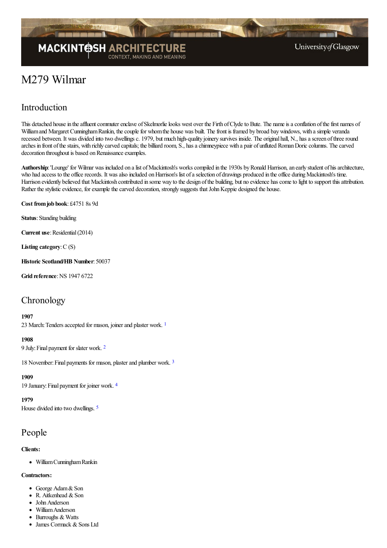

# M279 Wilmar

# Introduction

This detached house in the affluent commuter enclave of Skelmorlie looks west over the Firth of Clyde to Bute. The name is a conflation of the first names of William and Margaret Cunningham Rankin, the couple for whom the house was built. The front is framed by broad bay windows, with a simple veranda recessed between. It was divided into two dwellings c. 1979, but much high-quality joinery survives inside. The original hall, N., has a screen of three round arches in front of the stairs, with richly carved capitals; the billiard room, S., has a chimneypiece with a pair of unfluted Roman Doric columns. The carved decoration throughout is based on Renaissance examples.

Authorship: 'Lounge' for Wilmar was included on a list of Mackintosh's works compiled in the 1930s by Ronald Harrison, an early student of his architecture, who had access to the office records. It was also included on Harrison's list of a selection of drawings produced in the office during Mackintosh's time. Harrison evidently believed that Mackintosh contributed in some way to the design of the building, but no evidence has come to light to support this attribution. Rather the stylistic evidence, for example the carved decoration, strongly suggests that John Keppie designed the house.

**Cost fromjob book**: £4751 8s 9d

**Status**: Standing building

**Current use:** Residential (2014)

**Listing category**:C (S)

**Historic Scotland/HB Number**: 50037

**Grid reference: NS 1947 6722** 

### **Chronology**

#### <span id="page-0-0"></span>**1907**

23 March: Tenders accepted for mason, joiner and plaster work. <sup>[1](#page-4-0)</sup>

#### <span id="page-0-1"></span>**1908**

9 July:Final payment for slater work. [2](#page-4-1)

<span id="page-0-2"></span>18 November:Final payments for mason, plasterand plumber work. [3](#page-4-2)

**1909**

<span id="page-0-3"></span>19 January:Final payment for joiner work. [4](#page-4-3)

**1979**

<span id="page-0-4"></span>House divided into two dwellings. [5](#page-4-4)

### People

### **Clients:**

• William Cunningham Rankin

### **Contractors:**

- George Adam & Son
- $\bullet$  R. Aitkenhead & Son
- John Anderson
- WilliamAnderson • Burroughs & Watts
- 
- James Cormack & Sons Ltd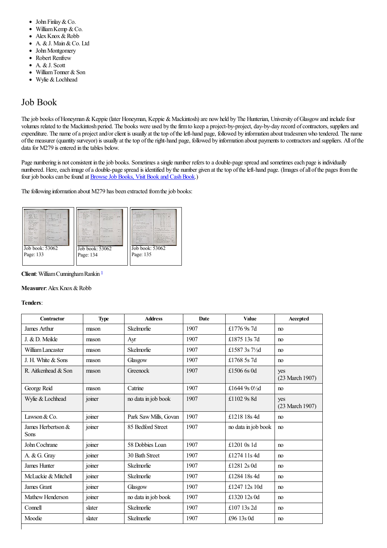- $\bullet$ John Finlay&Co.
- $\bullet$ William Kemp & Co.
- $\bullet$ Alex Knox & Robb
- A. & J. Main & Co. Ltd  $\bullet$
- John Montgomery  $\bullet$
- Robert Renfrew  $\bullet$
- A. & J. Scott  $\bullet$
- William Tonner & Son  $\bullet$
- Wylie &Lochhead  $\bullet$

# Job Book

The job books of Honeyman & Keppie (later Honeyman, Keppie & Mackintosh) are now held by The Hunterian, University of Glasgow and include four volumes related to the Mackintosh period. The books were used by the firm to keep a project-by-project, day-by-day record of contractors, suppliers and expenditure. The name of a project and/or client is usually at the top of the left-hand page, followed by information about tradesmen who tendered. The name ofthe measurer (quantity surveyor) is usually at thetop oftheright-hand page, followed by information about payments to contractorsand suppliers. All ofthe data for M279 is entered in the tables below.

Page numbering is not consistent in the job books. Sometimes a single number refers to a double-page spread and sometimes each page is individually numbered. Here, each image of a double-page spread is identified by the number given at the top of the left-hand page. (Images of all of the pages from the four job books can be found at **Browse Job Books**, Visit Book and Cash Book.)

The following information about M279 has been extracted from the job books:



### <span id="page-1-0"></span>**Client**:WilliamCunninghamRankin [1](#page-4-5)

#### **Measurer:** Alex Knox & Robb

#### **Tenders**:

| Contractor                        | <b>Type</b> | <b>Address</b>        | Date | <b>Value</b>              | Accepted               |
|-----------------------------------|-------------|-----------------------|------|---------------------------|------------------------|
| James Arthur                      | mason       | Skelmorlie            | 1907 | £1776 9s 7d               | no                     |
| J. & D. Meikle                    | mason       | Ayr                   | 1907 | £1875 13s 7d              | no                     |
| William Lancaster                 | mason       | Skelmorlie            | 1907 | £1587 3s 71/2d            | m                      |
| J. H. White & Sons                | mason       | Glasgow               | 1907 | £1768 5s 7d               | no                     |
| R. Aitkenhead & Son               | mason       | Greenock              | 1907 | £1506 6s 0d               | yes<br>(23 March 1907) |
| George Reid                       | mason       | Catrine               | 1907 | £1644 9s $0\frac{1}{2}$ d | no                     |
| Wylie & Lochhead                  | joiner      | no data in job book   | 1907 | £1102 9s 8d               | yes<br>(23 March 1907) |
| Lawson $& Co.$                    | joiner      | Park Saw Mills, Govan | 1907 | £1218 18s 4d              | no                     |
| James Herbertson &<br><b>Sons</b> | joiner      | 85 Bedford Street     | 1907 | no data in job book       | no                     |
| John Cochrane                     | joiner      | 58 Dobbies Loan       | 1907 | £1201 $0s$ 1d             | no                     |
| A. & G. Gray                      | joiner      | 30 Bath Street        | 1907 | £1274 11s 4d              | no                     |
| James Hunter                      | joiner      | Skelmorlie            | 1907 | £1281 2s 0d               | no                     |
| McLuckie & Mitchell               | joiner      | Skelmorlie            | 1907 | £1284 18s 4d              | no                     |
| James Grant                       | joiner      | Glasgow               | 1907 | £1247 12s 10d             | no                     |
| Mathew Henderson                  | joiner      | no data in job book   | 1907 | £1320 12s 0d              | no                     |
| Connell                           | slater      | Skelmorlie            | 1907 | £107 13s 2d               | no                     |
| Moodie                            | slater      | Skelmorlie            | 1907 | £96 13s 0d                | no                     |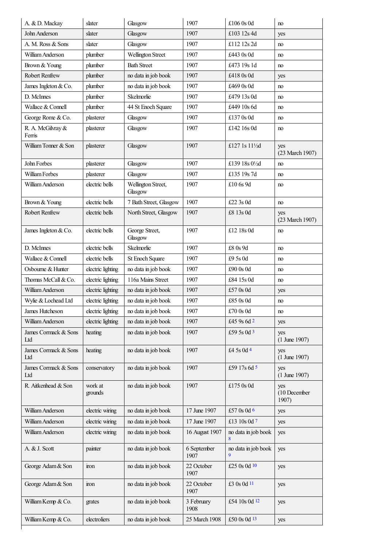| A. & D. Mackay              | slater             | Glasgow                       | 1907                | £106 0s 0d          | no                           |
|-----------------------------|--------------------|-------------------------------|---------------------|---------------------|------------------------------|
| John Anderson               | slater             | Glasgow                       | 1907                | £103 12s 4d         | yes                          |
| A. M. Ross & Sons           | slater             | Glasgow                       | 1907                | £112 12s 2d         | no                           |
| William Anderson            | plumber            | Wellington Street             | 1907                | £443 0s 0d          | no                           |
| Brown & Young               | plumber            | <b>Bath Street</b>            | 1907                | £473 19s 1d         | no                           |
| Robert Renfrew              | plumber            | no data in job book           | 1907                | £418 0s 0d          | yes                          |
| James Ingleton & Co.        | plumber            | no data in job book           | 1907                | £469 0s 0d          | no                           |
| D. McInnes                  | plumber            | Skelmorlie                    | 1907                | £479 13s 0d         | no                           |
| Wallace & Connell           | plumber            | 44 St Enoch Square            | 1907                | £449 10s 6d         | no                           |
| George Rome & Co.           | plasterer          | Glasgow                       | 1907                | £137 0s 0d          | no                           |
| R. A. McGilvray &<br>Ferris | plasterer          | Glasgow                       | 1907                | £142 16s 0d         | no                           |
| William Tonner & Son        | plasterer          | Glasgow                       | 1907                | £127 1s 111/2d      | yes<br>(23 March 1907)       |
| John Forbes                 | plasterer          | Glasgow                       | 1907                | £139 18s 01/2d      | no                           |
| William Forbes              | plasterer          | Glasgow                       | 1907                | £135 19s 7d         | no                           |
| William Anderson            | electric bells     | Wellington Street,<br>Glasgow | 1907                | £10 6s 9d           | no                           |
| Brown & Young               | electric bells     | 7 Bath Street, Glasgow        | 1907                | £22 3s 0d           | no                           |
| Robert Renfrew              | electric bells     | North Street, Glasgow         | 1907                | £8 13s 0d           | yes<br>(23 March 1907)       |
| James Ingleton & Co.        | electric bells     | George Street,<br>Glasgow     | 1907                | £12 18s 0d          | no                           |
| D. McInnes                  | electric bells     | Skelmorlie                    | 1907                | £8 0s 9d            | no                           |
| Wallace & Connell           | electric bells     | St Enoch Square               | 1907                | £95s0d              | no                           |
| Osbourne & Hunter           | electric lighting  | no data in job book           | 1907                | £90 0s 0d           | no                           |
| Thomas McCall & Co.         | electric lighting  | 116a Mains Street             | 1907                | £84 15s 0d          | no                           |
| William Anderson            | electric lighting  | no data in job book           | 1907                | £57 0s 0d           | yes                          |
| Wylie & Lochead Ltd         | electric lighting  | no data in job book           | 1907                | £85 0s 0d           | no                           |
| James Hutcheson             | electric lighting  | no data in job book           | 1907                | $\pounds 70$ 0s 0d  | no                           |
| William Anderson            | electric lighting  | no data in job book           | 1907                | £45 9s 6d 2         | yes                          |
| James Cormack & Sons<br>Ltd | heating            | no data in job book           | 1907                | £59 5s 0d 3         | yes<br>$(1$ June 1907)       |
| James Cormack & Sons<br>Ltd | heating            | no data in job book           | 1907                | £4 5s 0d 4          | yes<br>$(1$ June 1907)       |
| James Cormack & Sons<br>Ltd | conservatory       | no data in job book           | 1907                | £59 17s 6d 5        | yes<br>$(1$ June 1907)       |
| R. Aitkenhead & Son         | work at<br>grounds | no data in job book           | 1907                | £175 0s 0d          | yes<br>(10 December<br>1907) |
| William Anderson            | electric wiring    | no data in job book           | 17 June 1907        | £57 0s 0d 6         | yes                          |
| William Anderson            | electric wiring    | no data in job book           | 17 June 1907        | £13 10s 0d 7        | yes                          |
| William Anderson            | electric wiring    | no data in job book           | 16 August 1907      | no data in job book | yes                          |
| A. & J. Scott               | painter            | no data in job book           | 6 September<br>1907 | no data in job book | yes                          |
| George Adam & Son           | iron               | no data in job book           | 22 October<br>1907  | £25 0s 0d 10        | yes                          |
| George Adam & Son           | iron               | no data in job book           | 22 October<br>1907  | £3 0s 0d 11         | yes                          |
| William Kemp & Co.          | grates             | no data in job book           | 3 February<br>1908  | £54 10s 0d 12       | yes                          |
| William Kemp & Co.          | electroliers       | no data in job book           | 25 March 1908       | £50 0s 0d 13        | yes                          |

<span id="page-2-11"></span><span id="page-2-10"></span><span id="page-2-9"></span><span id="page-2-8"></span><span id="page-2-7"></span><span id="page-2-6"></span><span id="page-2-5"></span><span id="page-2-4"></span><span id="page-2-3"></span><span id="page-2-2"></span><span id="page-2-1"></span><span id="page-2-0"></span> $\mathsf{L}$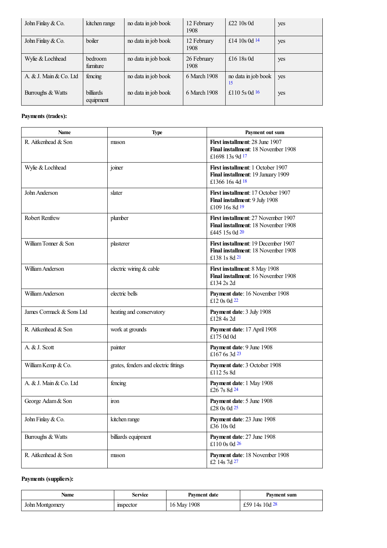<span id="page-3-0"></span>

| John Finlay $& Co.$     | kitchen range                 | no data in job book | 12 February<br>1908 | £22 $10s$ 0d              | yes |
|-------------------------|-------------------------------|---------------------|---------------------|---------------------------|-----|
| John Finlay $& Co.$     | boiler                        | no data in job book | 12 February<br>1908 | £14 10s 0d $14$           | yes |
| Wylie & Lochhead        | bedroom<br>furniture          | no data in job book | 26 February<br>1908 | £16 18 $s$ 0d             | yes |
| A. & J. Main & Co. Ltd. | fencing                       | no data in job book | 6 March 1908        | no data in job book<br>15 | yes |
| Burroughs & Watts       | <b>billiards</b><br>equipment | no data in job book | 6 March 1908        | £110 5s 0d $16$           | yes |

### <span id="page-3-2"></span><span id="page-3-1"></span>**Payments (trades):**

<span id="page-3-8"></span><span id="page-3-7"></span><span id="page-3-6"></span><span id="page-3-5"></span><span id="page-3-4"></span><span id="page-3-3"></span>

| <b>Name</b>              | <b>Type</b>                           | Payment out sum                                                                                   |
|--------------------------|---------------------------------------|---------------------------------------------------------------------------------------------------|
| R. Aitkenhead & Son      | mason                                 | First installment: 28 June 1907<br><b>Final installment:</b> 18 November 1908<br>£1698 13s 9d 17  |
| Wylie & Lochhead         | joiner                                | <b>First installment: 1 October 1907</b><br>Final installment: 19 January 1909<br>£1366 16s 4d 18 |
| John Anderson            | slater                                | First installment: 17 October 1907<br>Final installment: 9 July 1908<br>£109 16s 8d 19            |
| <b>Robert Renfrew</b>    | plumber                               | First installment: 27 November 1907<br>Final installment: 18 November 1908<br>£445 15s 0d $20$    |
| William Tonner & Son     | plasterer                             | First installment: 19 December 1907<br>Final installment: 18 November 1908<br>£138 1s 8d 2l       |
| William Anderson         | electric wiring & cable               | First installment: 8 May 1908<br>Final installment: 16 November 1908<br>£134 2s 2d                |
| William Anderson         | electric bells                        | Payment date: 16 November 1908<br>£12 0s 0d $22$                                                  |
| James Cormack & Sons Ltd | heating and conservatory              | Payment date: 3 July 1908<br>£128 4s 2d                                                           |
| R. Aitkenhead & Son      | work at grounds                       | Payment date: 17 April 1908<br>£175 0d 0d                                                         |
| A. & J. Scott            | painter                               | Payment date: 9 June 1908<br>£167 6s $3d^{23}$                                                    |
| William Kemp & Co.       | grates, fenders and electric fittings | Payment date: 3 October 1908<br>£112 5s 8d                                                        |
| A. & J. Main & Co. Ltd.  | fencing                               | Payment date: 1 May 1908<br>£26 7s 8d 24                                                          |
| George Adam & Son        | iron                                  | Payment date: 5 June 1908<br>£28 0s 0d 25                                                         |
| John Finlay & Co.        | kitchen range                         | Payment date: 23 June 1908<br>£36 10s 0d                                                          |
| Burroughs & Watts        | billiards equipment                   | Payment date: 27 June 1908<br>£110 0s 0d $26$                                                     |
| R. Aitkenhead & Son      | mason                                 | <b>Payment date: 18 November 1908</b><br>£2 14s 7d 27                                             |

### <span id="page-3-13"></span><span id="page-3-12"></span><span id="page-3-11"></span><span id="page-3-10"></span><span id="page-3-9"></span>**Payments (suppliers):**

<span id="page-3-14"></span>

| Name            | Service  | <b>Payment date</b> | Payment sum           |
|-----------------|----------|---------------------|-----------------------|
| John Montgomery | mspector | 1908<br>$16$ May    | 14s 10d $28$<br>£59 1 |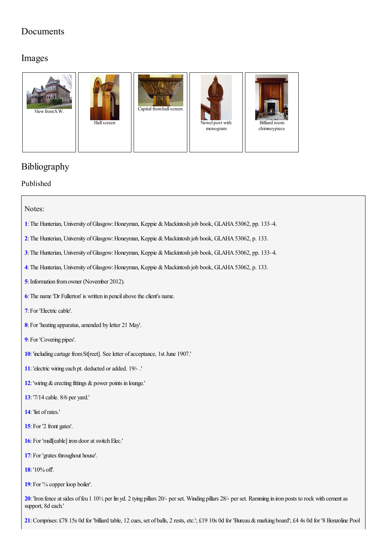# Documents

## Images



# Bibliography

Published

### Notes:

- <span id="page-4-0"></span>[1](#page-0-0): The Hunterian, University of Glasgow: Honeyman, Keppie & Mackintosh job book, GLAHA 53062, pp. 133-4.
- <span id="page-4-1"></span>[2](#page-0-1): The Hunterian, University of Glasgow: Honeyman, Keppie & Mackintosh job book, GLAHA 53062, p. 133.
- <span id="page-4-2"></span>[3](#page-0-2): The Hunterian, University of Glasgow: Honeyman, Keppie & Mackintosh job book, GLAHA 53062, pp. 133-4.
- <span id="page-4-3"></span>[4](#page-0-3): The Hunterian, University of Glasgow: Honeyman, Keppie & Mackintosh job book, GLAHA 53062, p. 133.
- <span id="page-4-4"></span>**[5](#page-0-4)**: Information from owner (November 2012).
- <span id="page-4-5"></span>**[6](#page-1-0)**: The name 'Dr Fullerton' is written in pencil above the client's name.
- <span id="page-4-6"></span>[7](#page-2-0): For 'Electric cable'.
- <span id="page-4-7"></span>[8](#page-2-1): For 'heating apparatus, amended by letter 21 May'.
- <span id="page-4-8"></span>**[9](#page-2-2)**: For 'Covering pipes'.
- <span id="page-4-9"></span>[10](#page-2-3): 'including cartage from St[reet]. See letter of acceptance, 1st June 1907.'
- <span id="page-4-10"></span>**[11](#page-2-4)**:'electric wiring each pt. deducted oradded. 19/- .'
- <span id="page-4-11"></span>**[12](#page-2-5)**: 'wiring  $\&$  erecting fittings  $\&$  power points in lounge.'
- <span id="page-4-12"></span>**[13](#page-2-6)**:'7/14 cable. 8/6 per yard.'
- <span id="page-4-13"></span>**[14](#page-2-7)**:'list ofrates.'
- <span id="page-4-14"></span>[15](#page-2-8): For '2 front gates'.
- <span id="page-4-15"></span>[16](#page-2-9): For 'mall[eable] iron door at switch Elec.'
- <span id="page-4-16"></span>[17](#page-2-10): For 'grates throughout house'.
- <span id="page-4-17"></span>**[18](#page-2-11)**:'10%off'.
- <span id="page-4-18"></span>**[19](#page-3-0)**:For '¼ copper loop boiler'.

<span id="page-4-19"></span>**[20](#page-3-1)**: 'Iron fence at sides of feu 1 10<sup>1</sup>/<sub>2</sub> per lin yd. 2 tying pillars 20<sup>/</sup>- per set. Winding pillars 28/- per set. Ramming in iron posts to rock with cement as support, 8d each.'

<span id="page-4-20"></span>**[21](#page-3-2)**:Comprises: £78 15s 0d for 'billiard table, 12 cues, set of balls, 2 rests,etc.'; £19 10s 0d for 'Bureau&marking board'; £4 4s 0d for '8 Bonzoline Pool